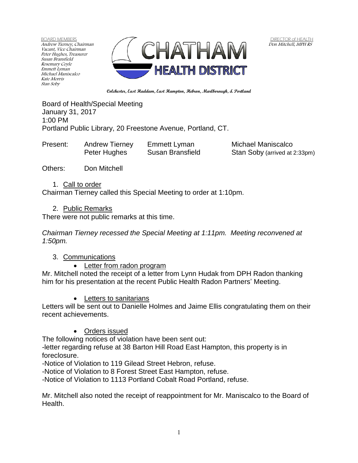BOARD MEMBERS Andrew Tierney, Chairman Vacant, Vice Chairman Peter Hughes, Treasurer Susan Bransfield Rosemary Coyle Emmett Lyman Michael Maniscalco Kate Morris Stan Soby



DIRECTOR of HEALTH Don Mitchell, MPH RS

**Colchester, East Haddam, East Hampton, Hebron, Marlborough, & Portland**

Board of Health/Special Meeting January 31, 2017 1:00 PM Portland Public Library, 20 Freestone Avenue, Portland, CT.

Present: Andrew Tierney Emmett Lyman Michael Maniscalco Peter Hughes Susan Bransfield Stan Soby (arrived at 2:33pm)

Others: Don Mitchell

1. Call to order

Chairman Tierney called this Special Meeting to order at 1:10pm.

2. Public Remarks

There were not public remarks at this time.

*Chairman Tierney recessed the Special Meeting at 1:11pm. Meeting reconvened at 1:50pm.* 

## 3. Communications

• Letter from radon program

Mr. Mitchell noted the receipt of a letter from Lynn Hudak from DPH Radon thanking him for his presentation at the recent Public Health Radon Partners' Meeting.

• Letters to sanitarians

Letters will be sent out to Danielle Holmes and Jaime Ellis congratulating them on their recent achievements.

Orders issued

The following notices of violation have been sent out:

-letter regarding refuse at 38 Barton Hill Road East Hampton, this property is in foreclosure.

-Notice of Violation to 119 Gilead Street Hebron, refuse.

-Notice of Violation to 8 Forest Street East Hampton, refuse.

-Notice of Violation to 1113 Portland Cobalt Road Portland, refuse.

Mr. Mitchell also noted the receipt of reappointment for Mr. Maniscalco to the Board of Health.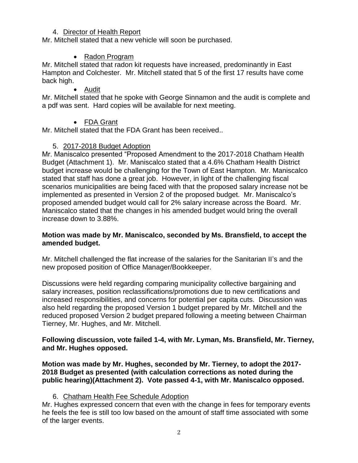# 4. Director of Health Report

Mr. Mitchell stated that a new vehicle will soon be purchased.

# • Radon Program

Mr. Mitchell stated that radon kit requests have increased, predominantly in East Hampton and Colchester. Mr. Mitchell stated that 5 of the first 17 results have come back high.

## • Audit

Mr. Mitchell stated that he spoke with George Sinnamon and the audit is complete and a pdf was sent. Hard copies will be available for next meeting.

# FDA Grant

Mr. Mitchell stated that the FDA Grant has been received..

# 5. 2017-2018 Budget Adoption

Mr. Maniscalco presented "Proposed Amendment to the 2017-2018 Chatham Health Budget (Attachment 1). Mr. Maniscalco stated that a 4.6% Chatham Health District budget increase would be challenging for the Town of East Hampton. Mr. Maniscalco stated that staff has done a great job. However, in light of the challenging fiscal scenarios municipalities are being faced with that the proposed salary increase not be implemented as presented in Version 2 of the proposed budget. Mr. Maniscalco's proposed amended budget would call for 2% salary increase across the Board. Mr. Maniscalco stated that the changes in his amended budget would bring the overall increase down to 3.88%.

## **Motion was made by Mr. Maniscalco, seconded by Ms. Bransfield, to accept the amended budget.**

Mr. Mitchell challenged the flat increase of the salaries for the Sanitarian II's and the new proposed position of Office Manager/Bookkeeper.

Discussions were held regarding comparing municipality collective bargaining and salary increases, position reclassifications/promotions due to new certifications and increased responsibilities, and concerns for potential per capita cuts. Discussion was also held regarding the proposed Version 1 budget prepared by Mr. Mitchell and the reduced proposed Version 2 budget prepared following a meeting between Chairman Tierney, Mr. Hughes, and Mr. Mitchell.

## **Following discussion, vote failed 1-4, with Mr. Lyman, Ms. Bransfield, Mr. Tierney, and Mr. Hughes opposed.**

## **Motion was made by Mr. Hughes, seconded by Mr. Tierney, to adopt the 2017- 2018 Budget as presented (with calculation corrections as noted during the public hearing)(Attachment 2). Vote passed 4-1, with Mr. Maniscalco opposed.**

6. Chatham Health Fee Schedule Adoption

Mr. Hughes expressed concern that even with the change in fees for temporary events he feels the fee is still too low based on the amount of staff time associated with some of the larger events.